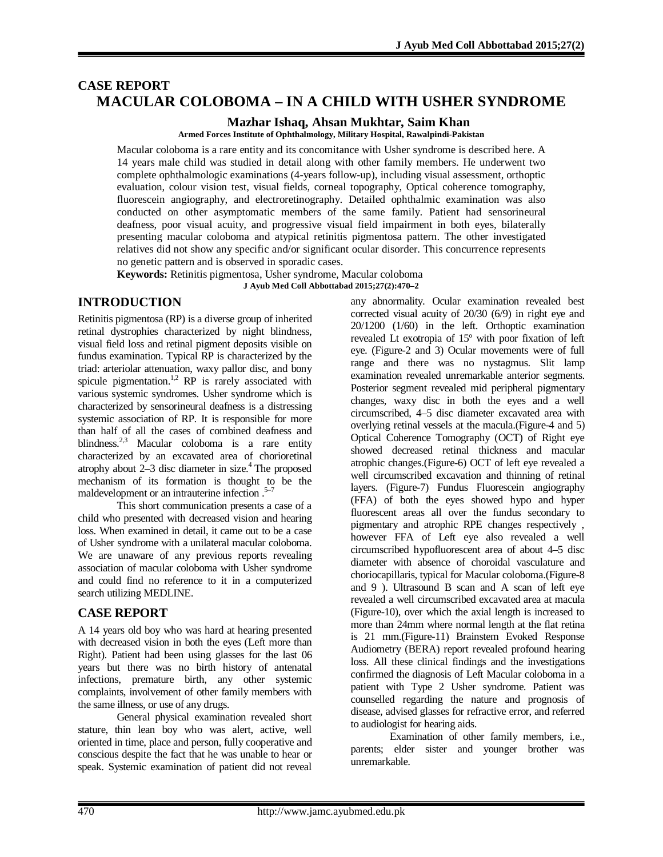# **CASE REPORT MACULAR COLOBOMA – IN A CHILD WITH USHER SYNDROME**

**Mazhar Ishaq, Ahsan Mukhtar, Saim Khan**

**Armed Forces Institute of Ophthalmology, Military Hospital, Rawalpindi-Pakistan**

Macular coloboma is a rare entity and its concomitance with Usher syndrome is described here. A 14 years male child was studied in detail along with other family members. He underwent two complete ophthalmologic examinations (4-years follow-up), including visual assessment, orthoptic evaluation, colour vision test, visual fields, corneal topography, Optical coherence tomography, fluorescein angiography, and electroretinography. Detailed ophthalmic examination was also conducted on other asymptomatic members of the same family. Patient had sensorineural deafness, poor visual acuity, and progressive visual field impairment in both eyes, bilaterally presenting macular coloboma and atypical retinitis pigmentosa pattern. The other investigated relatives did not show any specific and/or significant ocular disorder. This concurrence represents no genetic pattern and is observed in sporadic cases.

**Keywords:** Retinitis pigmentosa, Usher syndrome, Macular coloboma

**J Ayub Med Coll Abbottabad 2015;27(2):470–2**

# **INTRODUCTION**

Retinitis pigmentosa (RP) is a diverse group of inherited retinal dystrophies characterized by night blindness, visual field loss and retinal pigment deposits visible on fundus examination. Typical RP is characterized by the triad: arteriolar attenuation, waxy pallor disc, and bony spicule pigmentation.<sup>1,2</sup> RP is rarely associated with various systemic syndromes. Usher syndrome which is characterized by sensorineural deafness is a distressing systemic association of RP. It is responsible for more than half of all the cases of combined deafness and blindness.<sup>2,3</sup> Macular coloboma is a rare entity characterized by an excavated area of chorioretinal atrophy about  $2-3$  disc diameter in size.<sup>4</sup> The proposed mechanism of its formation is thought to be the maldevelopment or an intrauterine infection  $.5-7$ 

This short communication presents a case of a child who presented with decreased vision and hearing loss. When examined in detail, it came out to be a case of Usher syndrome with a unilateral macular coloboma. We are unaware of any previous reports revealing association of macular coloboma with Usher syndrome and could find no reference to it in a computerized search utilizing MEDLINE.

# **CASE REPORT**

A 14 years old boy who was hard at hearing presented with decreased vision in both the eyes (Left more than Right). Patient had been using glasses for the last 06 years but there was no birth history of antenatal infections, premature birth, any other systemic complaints, involvement of other family members with the same illness, or use of any drugs.

General physical examination revealed short stature, thin lean boy who was alert, active, well oriented in time, place and person, fully cooperative and conscious despite the fact that he was unable to hear or speak. Systemic examination of patient did not reveal

any abnormality. Ocular examination revealed best corrected visual acuity of 20/30 (6/9) in right eye and 20/1200 (1/60) in the left. Orthoptic examination revealed Lt exotropia of 15º with poor fixation of left eye. (Figure-2 and 3) Ocular movements were of full range and there was no nystagmus. Slit lamp examination revealed unremarkable anterior segments. Posterior segment revealed mid peripheral pigmentary changes, waxy disc in both the eyes and a well circumscribed, 4–5 disc diameter excavated area with overlying retinal vessels at the macula.(Figure-4 and 5) Optical Coherence Tomography (OCT) of Right eye showed decreased retinal thickness and macular atrophic changes.(Figure-6) OCT of left eye revealed a well circumscribed excavation and thinning of retinal layers. (Figure-7) Fundus Fluorescein angiography (FFA) of both the eyes showed hypo and hyper fluorescent areas all over the fundus secondary to pigmentary and atrophic RPE changes respectively , however FFA of Left eye also revealed a well circumscribed hypofluorescent area of about 4–5 disc diameter with absence of choroidal vasculature and choriocapillaris, typical for Macular coloboma.(Figure-8 and 9 ). Ultrasound B scan and A scan of left eye revealed a well circumscribed excavated area at macula (Figure-10), over which the axial length is increased to more than 24mm where normal length at the flat retina is 21 mm.(Figure-11) Brainstem Evoked Response Audiometry (BERA) report revealed profound hearing loss. All these clinical findings and the investigations confirmed the diagnosis of Left Macular coloboma in a patient with Type 2 Usher syndrome. Patient was counselled regarding the nature and prognosis of disease, advised glasses for refractive error, and referred to audiologist for hearing aids.

Examination of other family members, i.e., parents; elder sister and younger brother was unremarkable.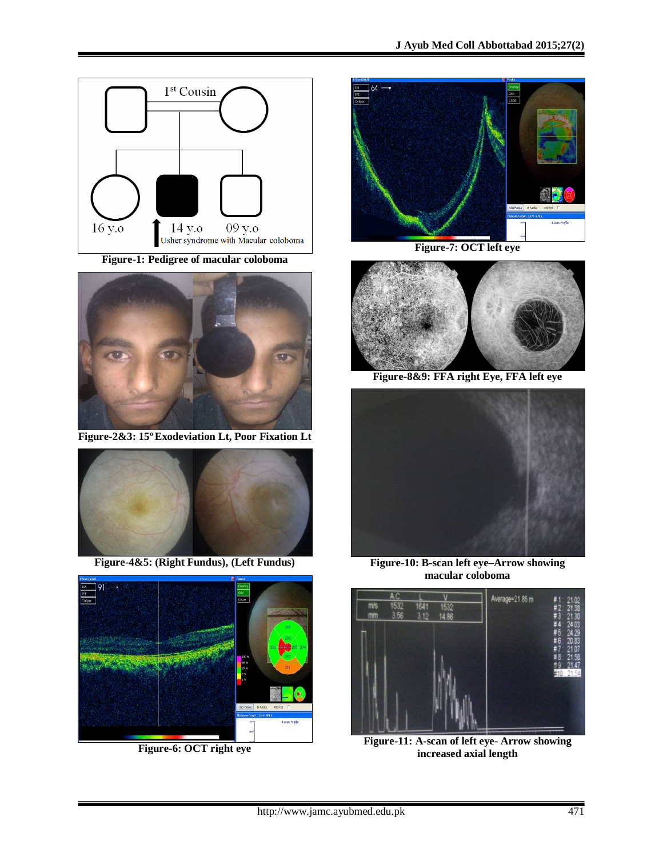

**Figure-1: Pedigree of macular coloboma**



**Figure-2&3: 15ºExodeviation Lt, Poor Fixation Lt**



**Figure-4&5: (Right Fundus), (Left Fundus)**



**Figure-6: OCT right eye**



**Figure-7: OCT left eye**



**Figure-8&9: FFA right Eye, FFA left eye**



**Figure-10: B-scan left eye–Arrow showing macular coloboma**



**Figure-11: A-scan of left eye- Arrow showing increased axial length**